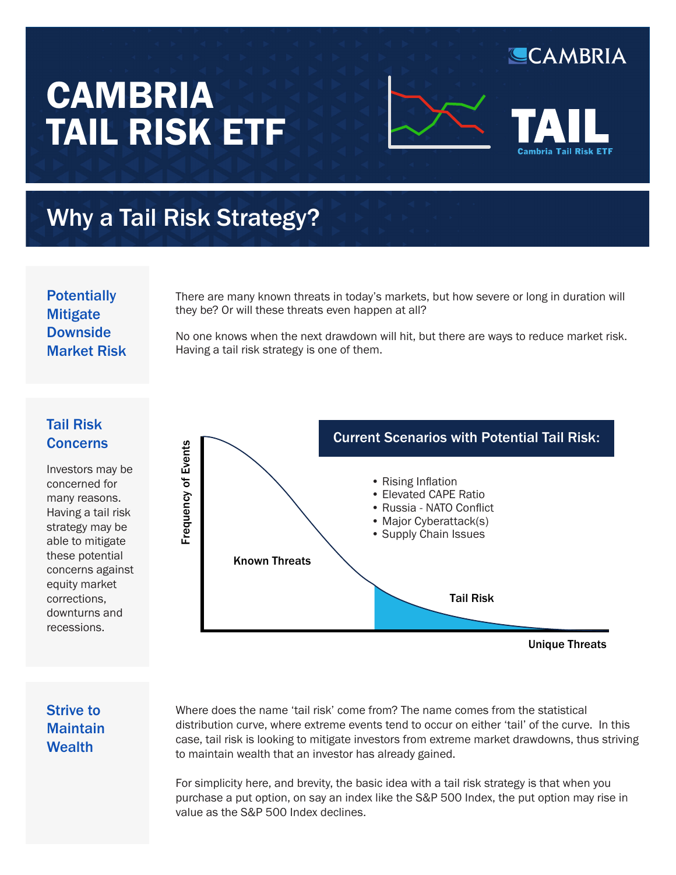# **CAMBRIA** TAIL RISK ETF



CAMBRIA

## Why a Tail Risk Strategy?

**Potentially Mitigate Downside** Market Risk

There are many known threats in today's markets, but how severe or long in duration will they be? Or will these threats even happen at all?

No one knows when the next drawdown will hit, but there are ways to reduce market risk. Having a tail risk strategy is one of them.

#### Tail Risk **Concerns**

Investors may be concerned for many reasons. Having a tail risk strategy may be able to mitigate these potential concerns against equity market corrections, downturns and recessions.



#### Strive to **Maintain Wealth**

Where does the name 'tail risk' come from? The name comes from the statistical distribution curve, where extreme events tend to occur on either 'tail' of the curve. In this case, tail risk is looking to mitigate investors from extreme market drawdowns, thus striving to maintain wealth that an investor has already gained.

For simplicity here, and brevity, the basic idea with a tail risk strategy is that when you purchase a put option, on say an index like the S&P 500 Index, the put option may rise in value as the S&P 500 Index declines.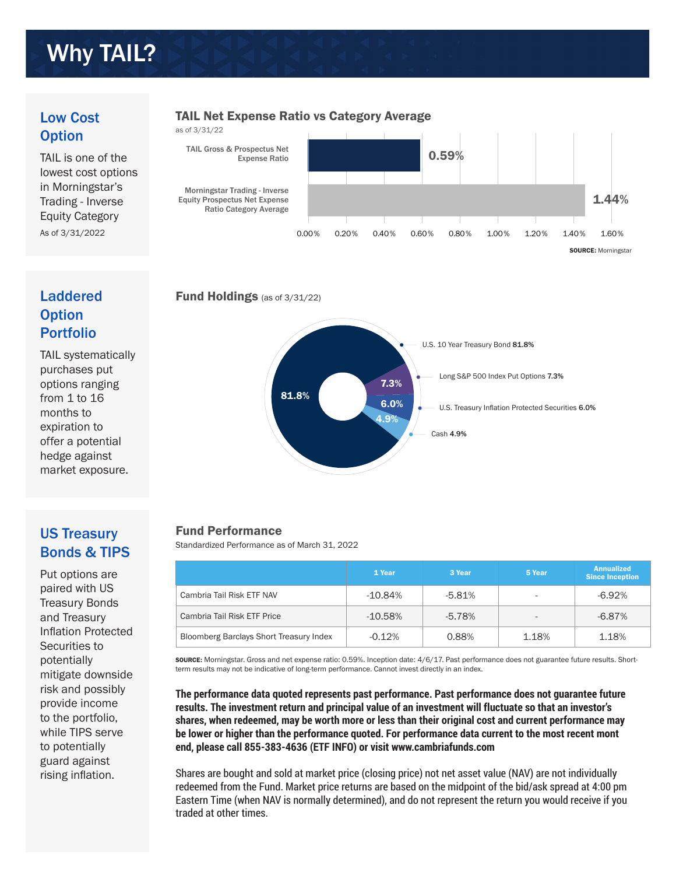## Why TAIL?

#### Low Cost **Option**

TAIL is one of the lowest cost options in Morningstar's Trading - Inverse Equity Category As of 3/31/2022

#### TAIL Net Expense Ratio vs Category Average





### Laddered **Option** Portfolio

TAIL systematically purchases put options ranging from 1 to 16 months to expiration to offer a potential hedge against market exposure.





### US Treasury Bonds & TIPS

Put options are paired with US Treasury Bonds and Treasury Inflation Protected Securities to potentially mitigate downside risk and possibly provide income to the portfolio, while TIPS serve to potentially guard against rising inflation.

#### Fund Performance

Standardized Performance as of March 31, 2022

|                                                | 1 Year     | 3 Year    | 5 Year                   | <b>Annualized</b><br><b>Since Inception</b> |
|------------------------------------------------|------------|-----------|--------------------------|---------------------------------------------|
| Cambria Tail Risk ETF NAV                      | $-10.84\%$ | $-5.81%$  | ٠                        | $-6.92%$                                    |
| Cambria Tail Risk ETF Price                    | $-10.58%$  | $-5.78\%$ | $\overline{\phantom{a}}$ | $-6.87%$                                    |
| <b>Bloomberg Barclays Short Treasury Index</b> | $-0.12%$   | 0.88%     | 1.18%                    | 1.18%                                       |

SOURCE: Morningstar. Gross and net expense ratio: 0.59%. Inception date: 4/6/17. Past performance does not guarantee future results. Shortterm results may not be indicative of long-term performance. Cannot invest directly in an index.

**The performance data quoted represents past performance. Past performance does not guarantee future results. The investment return and principal value of an investment will fluctuate so that an investor's shares, when redeemed, may be worth more or less than their original cost and current performance may be lower or higher than the performance quoted. For performance data current to the most recent mont end, please call 855-383-4636 (ETF INFO) or visit www.cambriafunds.com**

Shares are bought and sold at market price (closing price) not net asset value (NAV) are not individually redeemed from the Fund. Market price returns are based on the midpoint of the bid/ask spread at 4:00 pm Eastern Time (when NAV is normally determined), and do not represent the return you would receive if you traded at other times.